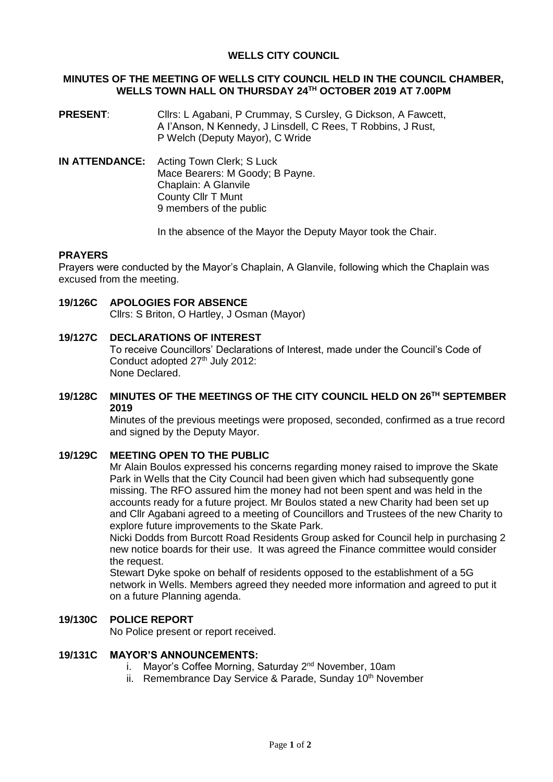## **WELLS CITY COUNCIL**

### **MINUTES OF THE MEETING OF WELLS CITY COUNCIL HELD IN THE COUNCIL CHAMBER, WELLS TOWN HALL ON THURSDAY 24 TH OCTOBER 2019 AT 7.00PM**

- **PRESENT**: Cllrs: L Agabani, P Crummay, S Cursley, G Dickson, A Fawcett, A I'Anson, N Kennedy, J Linsdell, C Rees, T Robbins, J Rust, P Welch (Deputy Mayor), C Wride
- **IN ATTENDANCE:** Acting Town Clerk; S Luck Mace Bearers: M Goody; B Payne. Chaplain: A Glanvile County Cllr T Munt 9 members of the public

In the absence of the Mayor the Deputy Mayor took the Chair.

### **PRAYERS**

Prayers were conducted by the Mayor's Chaplain, A Glanvile, following which the Chaplain was excused from the meeting.

- **19/126C APOLOGIES FOR ABSENCE** Cllrs: S Briton, O Hartley, J Osman (Mayor)
- **19/127C DECLARATIONS OF INTEREST** To receive Councillors' Declarations of Interest, made under the Council's Code of Conduct adopted 27<sup>th</sup> July 2012:

None Declared.

### **19/128C MINUTES OF THE MEETINGS OF THE CITY COUNCIL HELD ON 26 TH SEPTEMBER 2019**

Minutes of the previous meetings were proposed, seconded, confirmed as a true record and signed by the Deputy Mayor.

## **19/129C MEETING OPEN TO THE PUBLIC**

Mr Alain Boulos expressed his concerns regarding money raised to improve the Skate Park in Wells that the City Council had been given which had subsequently gone missing. The RFO assured him the money had not been spent and was held in the accounts ready for a future project. Mr Boulos stated a new Charity had been set up and Cllr Agabani agreed to a meeting of Councillors and Trustees of the new Charity to explore future improvements to the Skate Park.

Nicki Dodds from Burcott Road Residents Group asked for Council help in purchasing 2 new notice boards for their use. It was agreed the Finance committee would consider the request.

Stewart Dyke spoke on behalf of residents opposed to the establishment of a 5G network in Wells. Members agreed they needed more information and agreed to put it on a future Planning agenda.

#### **19/130C POLICE REPORT**

No Police present or report received.

## **19/131C MAYOR'S ANNOUNCEMENTS:**

- i. Mayor's Coffee Morning, Saturday 2<sup>nd</sup> November, 10am
- ii. Remembrance Day Service & Parade, Sunday 10<sup>th</sup> November